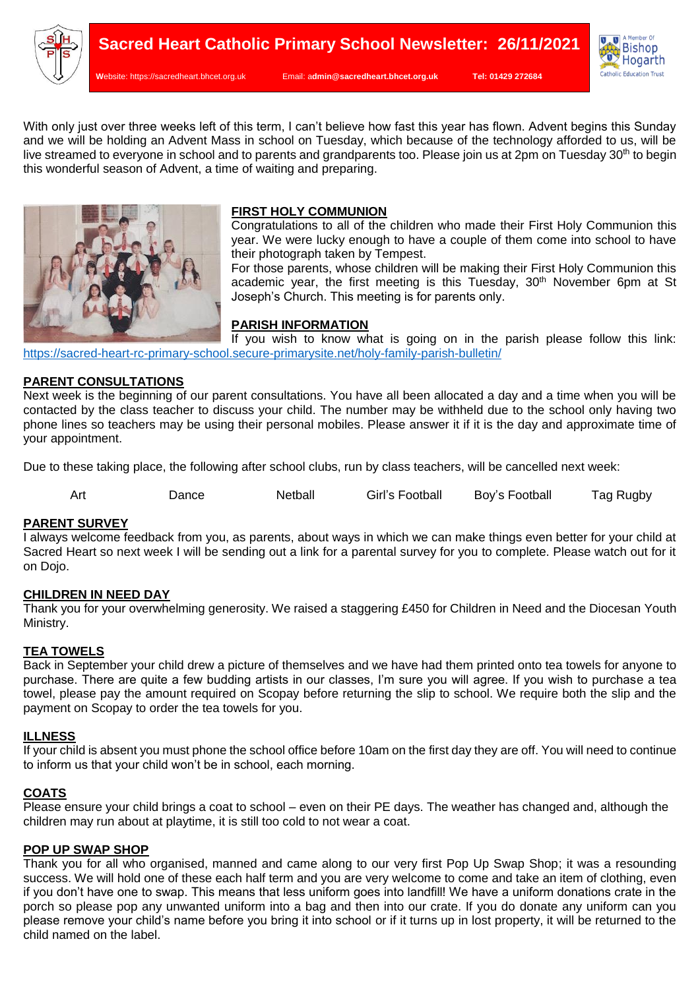

**W**ebsite: [https://sacredheart.bhcet.org.uk](https://sacredheart.bhcet.org.uk/) Email: a**[dmin@sacredheart.bhcet.org.uk](mailto:admin@sacredheart.bhcet.org.uk) Tel: 01429 272684**



With only just over three weeks left of this term. I can't believe how fast this year has flown. Advent begins this Sunday and we will be holding an Advent Mass in school on Tuesday, which because of the technology afforded to us, will be live streamed to everyone in school and to parents and grandparents too. Please join us at 2pm on Tuesday 30<sup>th</sup> to begin this wonderful season of Advent, a time of waiting and preparing.



# **FIRST HOLY COMMUNION**

Congratulations to all of the children who made their First Holy Communion this year. We were lucky enough to have a couple of them come into school to have their photograph taken by Tempest.

For those parents, whose children will be making their First Holy Communion this academic year, the first meeting is this Tuesday,  $30<sup>th</sup>$  November 6pm at St Joseph's Church. This meeting is for parents only.

# **PARISH INFORMATION**

If you wish to know what is going on in the parish please follow this link: <https://sacred-heart-rc-primary-school.secure-primarysite.net/holy-family-parish-bulletin/>

# **PARENT CONSULTATIONS**

Next week is the beginning of our parent consultations. You have all been allocated a day and a time when you will be contacted by the class teacher to discuss your child. The number may be withheld due to the school only having two phone lines so teachers may be using their personal mobiles. Please answer it if it is the day and approximate time of your appointment.

Due to these taking place, the following after school clubs, run by class teachers, will be cancelled next week:

| Art | Dance | Netball | Girl's Football | Boy's Football | Tag Rugby |
|-----|-------|---------|-----------------|----------------|-----------|
|     |       |         |                 |                |           |

## **PARENT SURVEY**

I always welcome feedback from you, as parents, about ways in which we can make things even better for your child at Sacred Heart so next week I will be sending out a link for a parental survey for you to complete. Please watch out for it on Dojo.

## **CHILDREN IN NEED DAY**

Thank you for your overwhelming generosity. We raised a staggering £450 for Children in Need and the Diocesan Youth Ministry.

## **TEA TOWELS**

Back in September your child drew a picture of themselves and we have had them printed onto tea towels for anyone to purchase. There are quite a few budding artists in our classes, I'm sure you will agree. If you wish to purchase a tea towel, please pay the amount required on Scopay before returning the slip to school. We require both the slip and the payment on Scopay to order the tea towels for you.

#### **ILLNESS**

If your child is absent you must phone the school office before 10am on the first day they are off. You will need to continue to inform us that your child won't be in school, each morning.

## **COATS**

Please ensure your child brings a coat to school – even on their PE days. The weather has changed and, although the children may run about at playtime, it is still too cold to not wear a coat.

## **POP UP SWAP SHOP**

Thank you for all who organised, manned and came along to our very first Pop Up Swap Shop; it was a resounding success. We will hold one of these each half term and you are very welcome to come and take an item of clothing, even if you don't have one to swap. This means that less uniform goes into landfill! We have a uniform donations crate in the porch so please pop any unwanted uniform into a bag and then into our crate. If you do donate any uniform can you please remove your child's name before you bring it into school or if it turns up in lost property, it will be returned to the child named on the label.